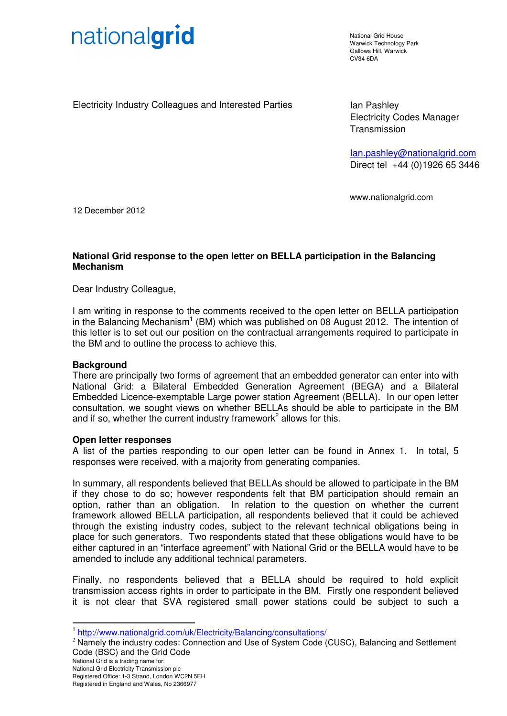

National Grid House Warwick Technology Park Gallows Hill, Warwick  $C<sub>1</sub>1/34$  6DA

Electricity Industry Colleagues and Interested Parties **Interpretent Collect** Ian Pashley

Electricity Codes Manager **Transmission** 

Ian.pashley@nationalgrid.com Direct tel +44 (0)1926 65 3446

www.nationalgrid.com

12 December 2012

### **National Grid response to the open letter on BELLA participation in the Balancing Mechanism**

Dear Industry Colleague,

I am writing in response to the comments received to the open letter on BELLA participation in the Balancing Mechanism<sup>1</sup> (BM) which was published on 08 August 2012. The intention of this letter is to set out our position on the contractual arrangements required to participate in the BM and to outline the process to achieve this.

### **Background**

There are principally two forms of agreement that an embedded generator can enter into with National Grid: a Bilateral Embedded Generation Agreement (BEGA) and a Bilateral Embedded Licence-exemptable Large power station Agreement (BELLA). In our open letter consultation, we sought views on whether BELLAs should be able to participate in the BM and if so, whether the current industry framework<sup>2</sup> allows for this.

### **Open letter responses**

A list of the parties responding to our open letter can be found in Annex 1. In total, 5 responses were received, with a majority from generating companies.

In summary, all respondents believed that BELLAs should be allowed to participate in the BM if they chose to do so; however respondents felt that BM participation should remain an option, rather than an obligation. In relation to the question on whether the current framework allowed BELLA participation, all respondents believed that it could be achieved through the existing industry codes, subject to the relevant technical obligations being in place for such generators. Two respondents stated that these obligations would have to be either captured in an "interface agreement" with National Grid or the BELLA would have to be amended to include any additional technical parameters.

Finally, no respondents believed that a BELLA should be required to hold explicit transmission access rights in order to participate in the BM. Firstly one respondent believed it is not clear that SVA registered small power stations could be subject to such a

 $\overline{a}$ 

<sup>&</sup>lt;sup>1</sup> http://www.nationalgrid.com/uk/Electricity/Balancing/consultations/

<sup>&</sup>lt;sup>2</sup> Namely the industry codes: Connection and Use of System Code (CUSC), Balancing and Settlement Code (BSC) and the Grid Code

National Grid is a trading name for:

National Grid Electricity Transmission plc Registered Office: 1-3 Strand, London WC2N 5EH

Registered in England and Wales, No 2366977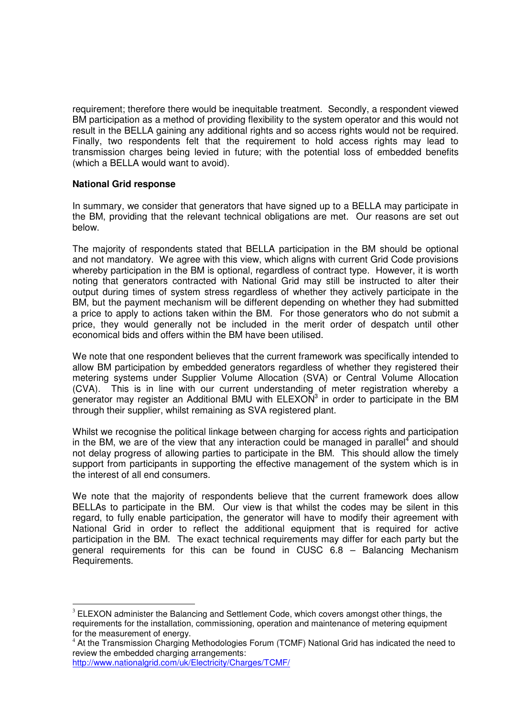requirement; therefore there would be inequitable treatment. Secondly, a respondent viewed BM participation as a method of providing flexibility to the system operator and this would not result in the BELLA gaining any additional rights and so access rights would not be required. Finally, two respondents felt that the requirement to hold access rights may lead to transmission charges being levied in future; with the potential loss of embedded benefits (which a BELLA would want to avoid).

### **National Grid response**

In summary, we consider that generators that have signed up to a BELLA may participate in the BM, providing that the relevant technical obligations are met. Our reasons are set out below.

The majority of respondents stated that BELLA participation in the BM should be optional and not mandatory. We agree with this view, which aligns with current Grid Code provisions whereby participation in the BM is optional, regardless of contract type. However, it is worth noting that generators contracted with National Grid may still be instructed to alter their output during times of system stress regardless of whether they actively participate in the BM, but the payment mechanism will be different depending on whether they had submitted a price to apply to actions taken within the BM. For those generators who do not submit a price, they would generally not be included in the merit order of despatch until other economical bids and offers within the BM have been utilised.

We note that one respondent believes that the current framework was specifically intended to allow BM participation by embedded generators regardless of whether they registered their metering systems under Supplier Volume Allocation (SVA) or Central Volume Allocation (CVA). This is in line with our current understanding of meter registration whereby a generator may register an Additional BMU with  $E$ LEXON<sup>3</sup> in order to participate in the BM through their supplier, whilst remaining as SVA registered plant.

Whilst we recognise the political linkage between charging for access rights and participation in the BM, we are of the view that any interaction could be managed in parallel<sup>4</sup> and should not delay progress of allowing parties to participate in the BM. This should allow the timely support from participants in supporting the effective management of the system which is in the interest of all end consumers.

We note that the majority of respondents believe that the current framework does allow BELLAs to participate in the BM. Our view is that whilst the codes may be silent in this regard, to fully enable participation, the generator will have to modify their agreement with National Grid in order to reflect the additional equipment that is required for active participation in the BM. The exact technical requirements may differ for each party but the general requirements for this can be found in CUSC 6.8 – Balancing Mechanism Requirements.

 $\overline{a}$ 

 $3$  ELEXON administer the Balancing and Settlement Code, which covers amongst other things, the requirements for the installation, commissioning, operation and maintenance of metering equipment for the measurement of energy.

<sup>&</sup>lt;sup>4</sup> At the Transmission Charging Methodologies Forum (TCMF) National Grid has indicated the need to review the embedded charging arrangements:

http://www.nationalgrid.com/uk/Electricity/Charges/TCMF/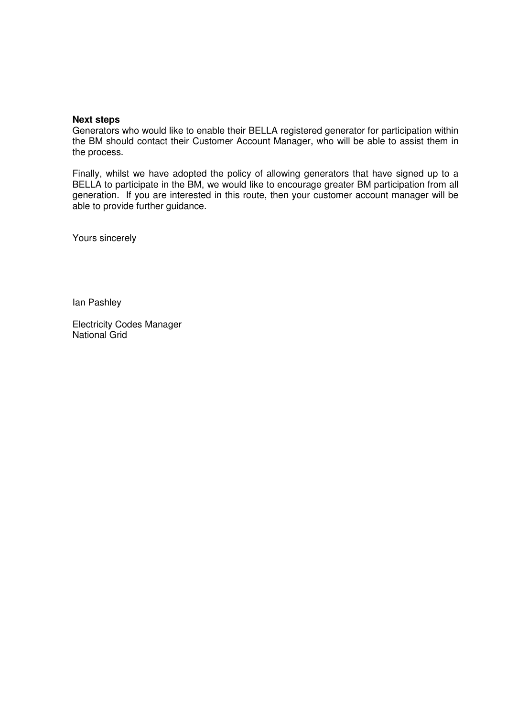### **Next steps**

Generators who would like to enable their BELLA registered generator for participation within the BM should contact their Customer Account Manager, who will be able to assist them in the process.

Finally, whilst we have adopted the policy of allowing generators that have signed up to a BELLA to participate in the BM, we would like to encourage greater BM participation from all generation. If you are interested in this route, then your customer account manager will be able to provide further guidance.

Yours sincerely

Ian Pashley

Electricity Codes Manager National Grid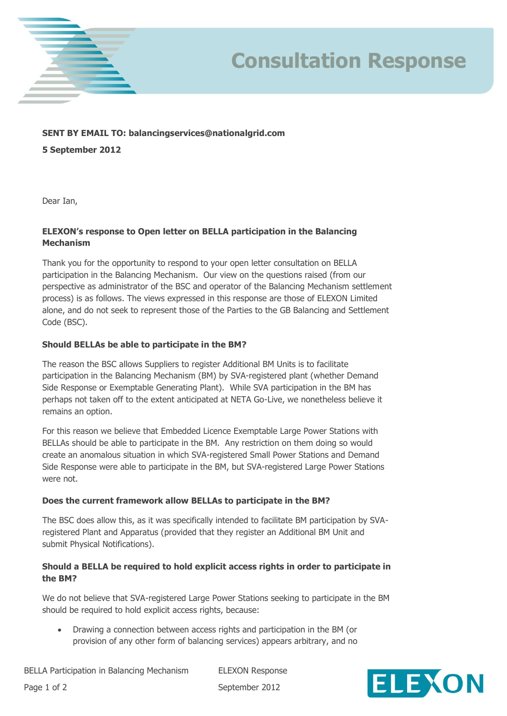

## **Consultation Response**

### **SENT BY EMAIL TO: balancingservices@nationalgrid.com**

**5 September 2012**

Dear Ian,

### **ELEXON's response to Open letter on BELLA participation in the Balancing Mechanism**

Thank you for the opportunity to respond to your open letter consultation on BELLA participation in the Balancing Mechanism. Our view on the questions raised (from our perspective as administrator of the BSC and operator of the Balancing Mechanism settlement process) is as follows. The views expressed in this response are those of ELEXON Limited alone, and do not seek to represent those of the Parties to the GB Balancing and Settlement Code (BSC).

### **Should BELLAs be able to participate in the BM?**

The reason the BSC allows Suppliers to register Additional BM Units is to facilitate participation in the Balancing Mechanism (BM) by SVA-registered plant (whether Demand Side Response or Exemptable Generating Plant). While SVA participation in the BM has perhaps not taken off to the extent anticipated at NETA Go-Live, we nonetheless believe it remains an option.

For this reason we believe that Embedded Licence Exemptable Large Power Stations with BELLAs should be able to participate in the BM. Any restriction on them doing so would create an anomalous situation in which SVA-registered Small Power Stations and Demand Side Response were able to participate in the BM, but SVA-registered Large Power Stations were not.

### **Does the current framework allow BELLAs to participate in the BM?**

The BSC does allow this, as it was specifically intended to facilitate BM participation by SVAregistered Plant and Apparatus (provided that they register an Additional BM Unit and submit Physical Notifications).

### **Should a BELLA be required to hold explicit access rights in order to participate in the BM?**

We do not believe that SVA-registered Large Power Stations seeking to participate in the BM should be required to hold explicit access rights, because:

 Drawing a connection between access rights and participation in the BM (or provision of any other form of balancing services) appears arbitrary, and no

Page 1 of 2 September 2012

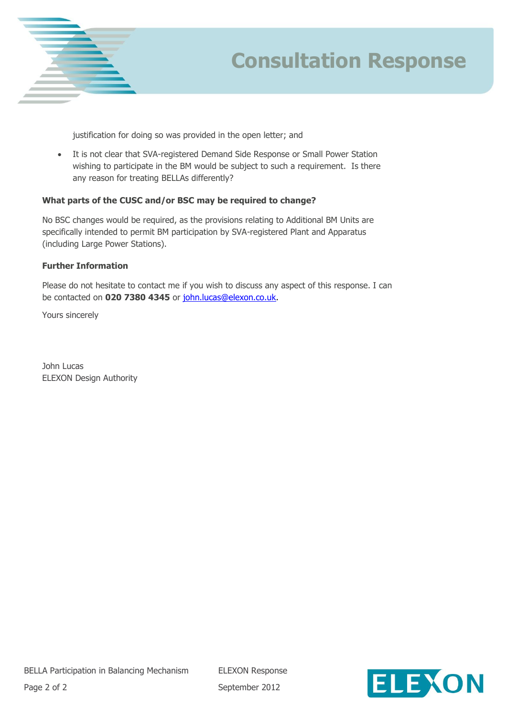

# **Consultation Response**

justification for doing so was provided in the open letter; and

 It is not clear that SVA-registered Demand Side Response or Small Power Station wishing to participate in the BM would be subject to such a requirement. Is there any reason for treating BELLAs differently?

### **What parts of the CUSC and/or BSC may be required to change?**

No BSC changes would be required, as the provisions relating to Additional BM Units are specifically intended to permit BM participation by SVA-registered Plant and Apparatus (including Large Power Stations).

### **Further Information**

Please do not hesitate to contact me if you wish to discuss any aspect of this response. I can be contacted on **020 7380 4345** or [john.lucas@elexon.co.uk.](mailto:john.lucas@elexon.co.uk)

Yours sincerely

John Lucas ELEXON Design Authority

Page 2 of 2 September 2012

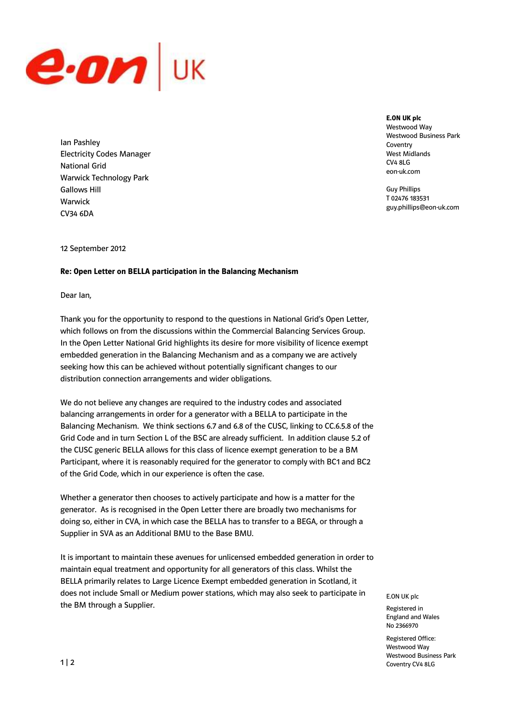

Ian Pashley Electricity Codes Manager National Grid Warwick Technology Park Gallows Hill Warwick CV34 6DA

**E.ON UK plc** Westwood Way Westwood Business Park Coventry West Midlands CV4 8LG eon-uk.com

Guy Phillips T 02476 183531 guy.phillips@eon-uk.com

12 September 2012

#### **Re: Open Letter on BELLA participation in the Balancing Mechanism**

Dear Ian,

Thank you for the opportunity to respond to the questions in National Grid's Open Letter, which follows on from the discussions within the Commercial Balancing Services Group. In the Open Letter National Grid highlights its desire for more visibility of licence exempt embedded generation in the Balancing Mechanism and as a company we are actively seeking how this can be achieved without potentially significant changes to our distribution connection arrangements and wider obligations.

We do not believe any changes are required to the industry codes and associated balancing arrangements in order for a generator with a BELLA to participate in the Balancing Mechanism. We think sections 6.7 and 6.8 of the CUSC, linking to CC.6.5.8 of the Grid Code and in turn Section L of the BSC are already sufficient. In addition clause 5.2 of the CUSC generic BELLA allows for this class of licence exempt generation to be a BM Participant, where it is reasonably required for the generator to comply with BC1 and BC2 of the Grid Code, which in our experience is often the case.

Whether a generator then chooses to actively participate and how is a matter for the generator. As is recognised in the Open Letter there are broadly two mechanisms for doing so, either in CVA, in which case the BELLA has to transfer to a BEGA, or through a Supplier in SVA as an Additional BMU to the Base BMU.

It is important to maintain these avenues for unlicensed embedded generation in order to maintain equal treatment and opportunity for all generators of this class. Whilst the BELLA primarily relates to Large Licence Exempt embedded generation in Scotland, it does not include Small or Medium power stations, which may also seek to participate in the BM through a Supplier.

E.ON UK plc

Registered in England and Wales No 2366970

Registered Office: Westwood Way Westwood Business Park Coventry CV4 8LG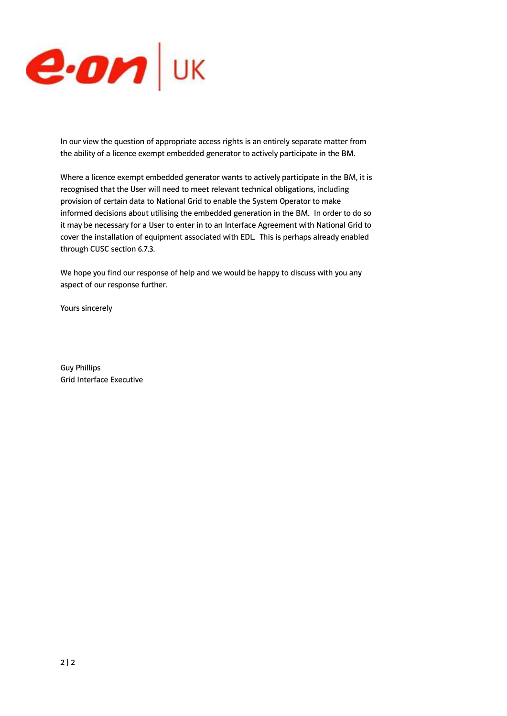

In our view the question of appropriate access rights is an entirely separate matter from the ability of a licence exempt embedded generator to actively participate in the BM.

Where a licence exempt embedded generator wants to actively participate in the BM, it is recognised that the User will need to meet relevant technical obligations, including provision of certain data to National Grid to enable the System Operator to make informed decisions about utilising the embedded generation in the BM. In order to do so it may be necessary for a User to enter in to an Interface Agreement with National Grid to cover the installation of equipment associated with EDL. This is perhaps already enabled through CUSC section 6.7.3.

We hope you find our response of help and we would be happy to discuss with you any aspect of our response further.

Yours sincerely

Guy Phillips Grid Interface Executive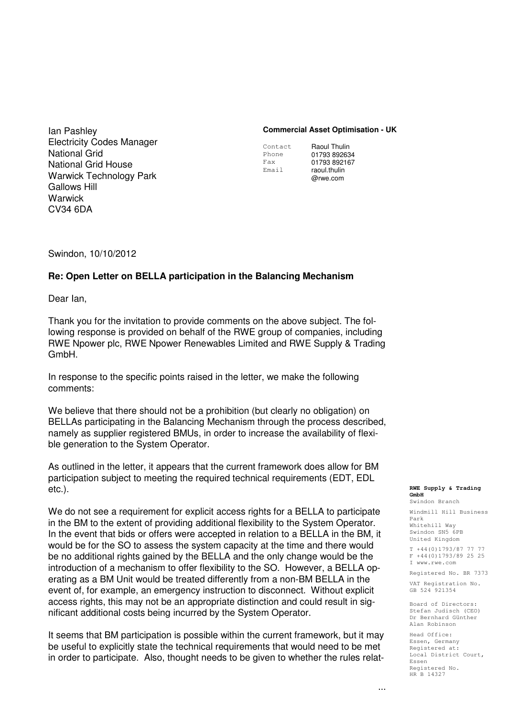Ian Pashley Electricity Codes Manager National Grid National Grid House Warwick Technology Park Gallows Hill Warwick CV34 6DA

### **Commercial Asset Optimisation - UK**

Contact Phone Fax Email

Raoul Thulin 01793 892634 01793 892167 raoul.thulin @rwe.com

Swindon, 10/10/2012

### **Re: Open Letter on BELLA participation in the Balancing Mechanism**

Dear Ian,

Thank you for the invitation to provide comments on the above subject. The following response is provided on behalf of the RWE group of companies, including RWE Npower plc, RWE Npower Renewables Limited and RWE Supply & Trading GmbH.

In response to the specific points raised in the letter, we make the following comments:

We believe that there should not be a prohibition (but clearly no obligation) on BELLAs participating in the Balancing Mechanism through the process described, namely as supplier registered BMUs, in order to increase the availability of flexible generation to the System Operator.

As outlined in the letter, it appears that the current framework does allow for BM participation subject to meeting the required technical requirements (EDT, EDL etc.).

We do not see a requirement for explicit access rights for a BELLA to participate in the BM to the extent of providing additional flexibility to the System Operator. In the event that bids or offers were accepted in relation to a BELLA in the BM, it would be for the SO to assess the system capacity at the time and there would be no additional rights gained by the BELLA and the only change would be the introduction of a mechanism to offer flexibility to the SO. However, a BELLA operating as a BM Unit would be treated differently from a non-BM BELLA in the event of, for example, an emergency instruction to disconnect. Without explicit access rights, this may not be an appropriate distinction and could result in significant additional costs being incurred by the System Operator.

It seems that BM participation is possible within the current framework, but it may be useful to explicitly state the technical requirements that would need to be met in order to participate. Also, thought needs to be given to whether the rules relat-

#### **RWE Supply & Trading GmbH**

Swindon Branch Windmill Hill Business Park Whitehill Way Swindon SN5 6PB United Kingdom T +44(0)1793/87 77 77 F +44(0)1793/89 25 25 I www.rwe.com

Registered No. BR 7373

VAT Registration No. GB 524 921354

Board of Directors: Stefan Judisch (CEO) Dr Bernhard Günther Alan Robinson

Head Office: Essen, Germany Registered at: Local District Court, Essen Registered No. HR B 14327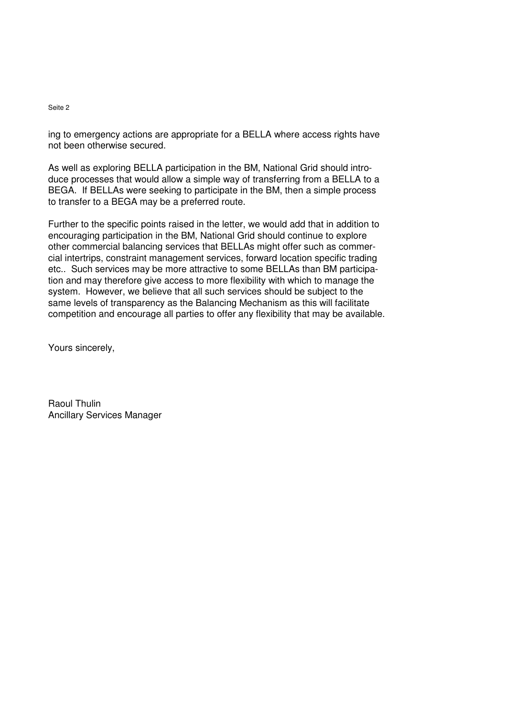### Seite 2

ing to emergency actions are appropriate for a BELLA where access rights have not been otherwise secured.

As well as exploring BELLA participation in the BM, National Grid should introduce processes that would allow a simple way of transferring from a BELLA to a BEGA. If BELLAs were seeking to participate in the BM, then a simple process to transfer to a BEGA may be a preferred route.

Further to the specific points raised in the letter, we would add that in addition to encouraging participation in the BM, National Grid should continue to explore other commercial balancing services that BELLAs might offer such as commercial intertrips, constraint management services, forward location specific trading etc.. Such services may be more attractive to some BELLAs than BM participation and may therefore give access to more flexibility with which to manage the system. However, we believe that all such services should be subject to the same levels of transparency as the Balancing Mechanism as this will facilitate competition and encourage all parties to offer any flexibility that may be available.

Yours sincerely,

Raoul Thulin Ancillary Services Manager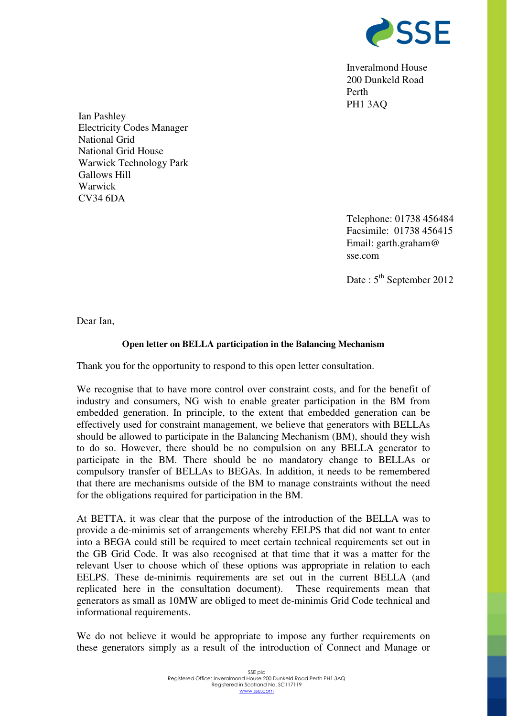

Inveralmond House 200 Dunkeld Road Perth PH1 3AQ

Ian Pashley Electricity Codes Manager National Grid National Grid House Warwick Technology Park Gallows Hill Warwick CV34 6DA

> Telephone: 01738 456484 Facsimile: 01738 456415 Email: garth.graham@ sse.com

> Date :  $5<sup>th</sup>$  September 2012

Dear Ian,

### **Open letter on BELLA participation in the Balancing Mechanism**

Thank you for the opportunity to respond to this open letter consultation.

We recognise that to have more control over constraint costs, and for the benefit of industry and consumers, NG wish to enable greater participation in the BM from embedded generation. In principle, to the extent that embedded generation can be effectively used for constraint management, we believe that generators with BELLAs should be allowed to participate in the Balancing Mechanism (BM), should they wish to do so. However, there should be no compulsion on any BELLA generator to participate in the BM. There should be no mandatory change to BELLAs or compulsory transfer of BELLAs to BEGAs. In addition, it needs to be remembered that there are mechanisms outside of the BM to manage constraints without the need for the obligations required for participation in the BM.

At BETTA, it was clear that the purpose of the introduction of the BELLA was to provide a de-minimis set of arrangements whereby EELPS that did not want to enter into a BEGA could still be required to meet certain technical requirements set out in the GB Grid Code. It was also recognised at that time that it was a matter for the relevant User to choose which of these options was appropriate in relation to each EELPS. These de-minimis requirements are set out in the current BELLA (and replicated here in the consultation document). These requirements mean that generators as small as 10MW are obliged to meet de-minimis Grid Code technical and informational requirements.

We do not believe it would be appropriate to impose any further requirements on these generators simply as a result of the introduction of Connect and Manage or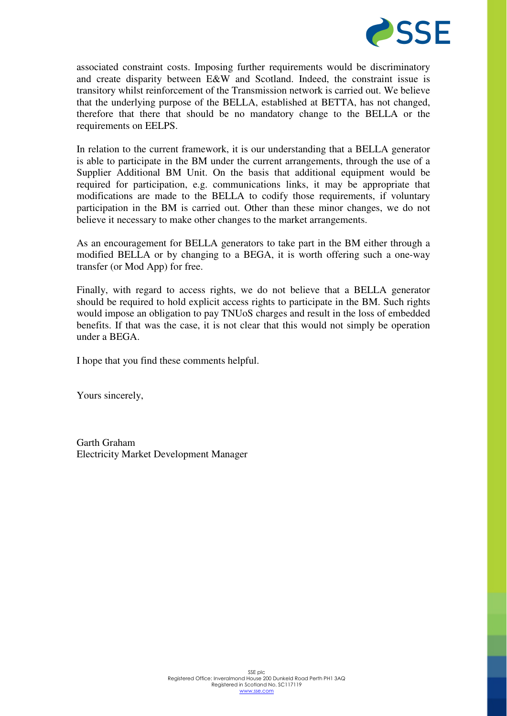

associated constraint costs. Imposing further requirements would be discriminatory and create disparity between E&W and Scotland. Indeed, the constraint issue is transitory whilst reinforcement of the Transmission network is carried out. We believe that the underlying purpose of the BELLA, established at BETTA, has not changed, therefore that there that should be no mandatory change to the BELLA or the requirements on EELPS.

In relation to the current framework, it is our understanding that a BELLA generator is able to participate in the BM under the current arrangements, through the use of a Supplier Additional BM Unit. On the basis that additional equipment would be required for participation, e.g. communications links, it may be appropriate that modifications are made to the BELLA to codify those requirements, if voluntary participation in the BM is carried out. Other than these minor changes, we do not believe it necessary to make other changes to the market arrangements.

As an encouragement for BELLA generators to take part in the BM either through a modified BELLA or by changing to a BEGA, it is worth offering such a one-way transfer (or Mod App) for free.

Finally, with regard to access rights, we do not believe that a BELLA generator should be required to hold explicit access rights to participate in the BM. Such rights would impose an obligation to pay TNUoS charges and result in the loss of embedded benefits. If that was the case, it is not clear that this would not simply be operation under a BEGA.

I hope that you find these comments helpful.

Yours sincerely,

Garth Graham Electricity Market Development Manager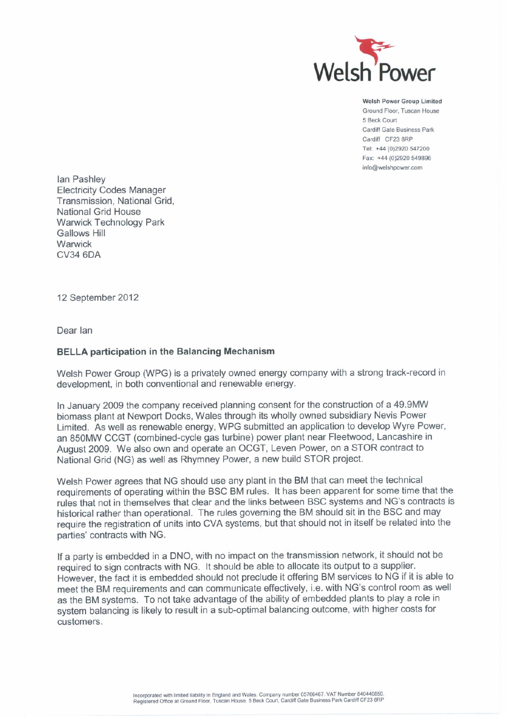

Welsh Power Group Limited Ground Floor, Tuscan House 5 Beck Court Cardiff Gate Business Park Cardiff CF23 8RP Tel: +44 (0)2920 547200 Fax: +44 (0)2920 549896 info@welshpower.com

lan Pashley **Electricity Codes Manager** Transmission, National Grid. National Grid House **Warwick Technology Park Gallows Hill** Warwick **CV34 6DA** 

12 September 2012

Dear lan

### **BELLA participation in the Balancing Mechanism**

Welsh Power Group (WPG) is a privately owned energy company with a strong track-record in development, in both conventional and renewable energy.

In January 2009 the company received planning consent for the construction of a 49.9MW biomass plant at Newport Docks, Wales through its wholly owned subsidiary Nevis Power Limited. As well as renewable energy, WPG submitted an application to develop Wyre Power, an 850MW CCGT (combined-cycle gas turbine) power plant near Fleetwood, Lancashire in August 2009. We also own and operate an OCGT, Leven Power, on a STOR contract to National Grid (NG) as well as Rhymney Power, a new build STOR project.

Welsh Power agrees that NG should use any plant in the BM that can meet the technical requirements of operating within the BSC BM rules. It has been apparent for some time that the rules that not in themselves that clear and the links between BSC systems and NG's contracts is historical rather than operational. The rules governing the BM should sit in the BSC and may require the registration of units into CVA systems, but that should not in itself be related into the parties' contracts with NG.

If a party is embedded in a DNO, with no impact on the transmission network, it should not be required to sign contracts with NG. It should be able to allocate its output to a supplier. However, the fact it is embedded should not preclude it offering BM services to NG if it is able to meet the BM requirements and can communicate effectively, i.e. with NG's control room as well as the BM systems. To not take advantage of the ability of embedded plants to play a role in system balancing is likely to result in a sub-optimal balancing outcome, with higher costs for customers.